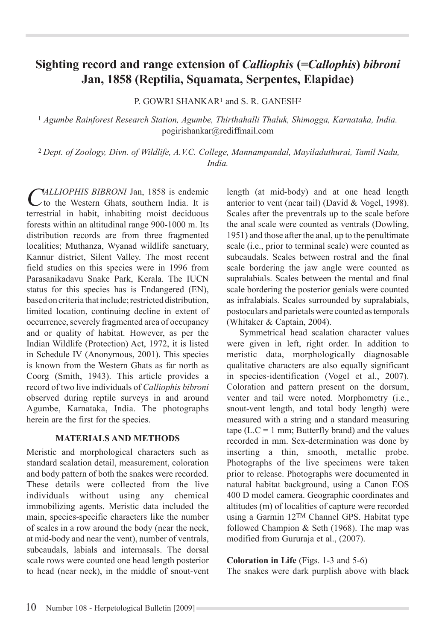# **Sighting record and range extension of** *Calliophis* **(***=Callophis***)** *bibroni* **Jan, 1858 (Reptilia, Squamata, Serpentes, Elapidae)**

P. GOWRI SHANKAR<sup>1</sup> and S. R. GANESH<sup>2</sup>

<sup>1</sup> *Agumbe Rainforest Research Station, Agumbe, Thirthahalli Thaluk, Shimogga, Karnataka, India.*  pogirishankar@rediffmail.com

<sup>2</sup>*Dept. of Zoology, Divn. of Wildlife, A.V.C. College, Mannampandal, Mayiladuthurai, Tamil Nadu, India.*

*Calliophis bibroni* Jan, 1858 is endemic  $\vee$  to the Western Ghats, southern India. It is terrestrial in habit, inhabiting moist deciduous forests within an altitudinal range 900-1000 m. Its distribution records are from three fragmented localities; Muthanza, Wyanad wildlife sanctuary, Kannur district, Silent Valley. The most recent field studies on this species were in 1996 from Parasanikadavu Snake Park, Kerala. The IUCN status for this species has is Endangered (EN), based on criteria that include; restricted distribution, limited location, continuing decline in extent of occurrence, severely fragmented area of occupancy and or quality of habitat. However, as per the Indian Wildlife (Protection) Act, 1972, it is listed in Schedule IV (Anonymous, 2001). This species is known from the Western Ghats as far north as Coorg (Smith, 1943). This article provides a record of two live individuals of *Calliophis bibroni* observed during reptile surveys in and around Agumbe, Karnataka, India. The photographs herein are the first for the species.

## **MATERIALS AND METHODS**

Meristic and morphological characters such as standard scalation detail, measurement, coloration and body pattern of both the snakes were recorded. These details were collected from the live individuals without using any chemical immobilizing agents. Meristic data included the main, species-specific characters like the number of scales in a row around the body (near the neck, at mid-body and near the vent), number of ventrals, subcaudals, labials and internasals. The dorsal scale rows were counted one head length posterior to head (near neck), in the middle of snout-vent length (at mid-body) and at one head length anterior to vent (near tail) (David & Vogel, 1998). Scales after the preventrals up to the scale before the anal scale were counted as ventrals (Dowling, 1951) and those after the anal, up to the penultimate scale (i.e., prior to terminal scale) were counted as subcaudals. Scales between rostral and the final scale bordering the jaw angle were counted as supralabials. Scales between the mental and final scale bordering the posterior genials were counted as infralabials. Scales surrounded by supralabials, postoculars and parietals were counted as temporals (Whitaker & Captain, 2004).

Symmetrical head scalation character values were given in left, right order. In addition to meristic data, morphologically diagnosable qualitative characters are also equally significant in species-identification (Vogel et al., 2007). Coloration and pattern present on the dorsum, venter and tail were noted. Morphometry (i.e., snout-vent length, and total body length) were measured with a string and a standard measuring tape ( $L.C = 1 mm$ ; Butterfly brand) and the values recorded in mm. Sex-determination was done by inserting a thin, smooth, metallic probe. Photographs of the live specimens were taken prior to release. Photographs were documented in natural habitat background, using a Canon EOS 400 D model camera. Geographic coordinates and altitudes (m) of localities of capture were recorded using a Garmin 12TM Channel GPS. Habitat type followed Champion & Seth (1968). The map was modified from Gururaja et al., (2007).

# **Coloration in Life** (Figs. 1-3 and 5-6)

The snakes were dark purplish above with black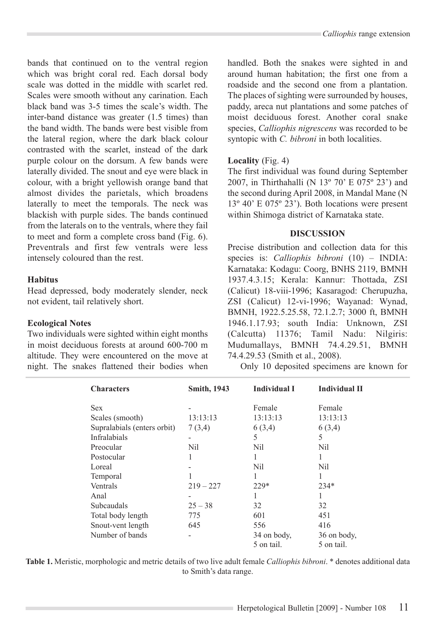bands that continued on to the ventral region which was bright coral red. Each dorsal body scale was dotted in the middle with scarlet red. Scales were smooth without any carination. Each black band was 3-5 times the scale's width. The inter-band distance was greater (1.5 times) than the band width. The bands were best visible from the lateral region, where the dark black colour contrasted with the scarlet, instead of the dark purple colour on the dorsum. A few bands were laterally divided. The snout and eye were black in colour, with a bright yellowish orange band that almost divides the parietals, which broadens laterally to meet the temporals. The neck was blackish with purple sides. The bands continued from the laterals on to the ventrals, where they fail to meet and form a complete cross band (Fig. 6). Preventrals and first few ventrals were less intensely coloured than the rest.

## **Habitus**

Head depressed, body moderately slender, neck not evident, tail relatively short.

#### **Ecological Notes**

Two individuals were sighted within eight months in moist deciduous forests at around 600-700 m altitude. They were encountered on the move at night. The snakes flattened their bodies when handled. Both the snakes were sighted in and around human habitation; the first one from a roadside and the second one from a plantation. The places of sighting were surrounded by houses, paddy, areca nut plantations and some patches of moist deciduous forest. Another coral snake species, *Calliophis nigrescens* was recorded to be syntopic with *C. bibroni* in both localities.

### **Locality** (Fig. 4)

The first individual was found during September 2007, in Thirthahalli (N 13º 70' E 075º 23') and the second during April 2008, in Mandal Mane (N 13º 40' E 075º 23'). Both locations were present within Shimoga district of Karnataka state.

#### **DISCUSSION**

Precise distribution and collection data for this species is: *Calliophis bibroni* (10) – INDIA: Karnataka: Kodagu: Coorg, BNHS 2119, BMNH 1937.4.3.15; Kerala: Kannur: Thottada, ZSI (Calicut) 18-viii-1996; Kasaragod: Cherupuzha, ZSI (Calicut) 12-vi-1996; Wayanad: Wynad, BMNH, 1922.5.25.58, 72.1.2.7; 3000 ft, BMNH 1946.1.17.93; south India: Unknown, ZSI (Calcutta) 11376; Tamil Nadu: Nilgiris: Mudumallays, BMNH 74.4.29.51, BMNH 74.4.29.53 (Smith et al., 2008).

Only 10 deposited specimens are known for

| <b>Characters</b>           | <b>Smith, 1943</b>           | <b>Individual I</b> | <b>Individual II</b> |
|-----------------------------|------------------------------|---------------------|----------------------|
| <b>Sex</b>                  |                              | Female              | Female               |
| Scales (smooth)             | 13:13:13                     | 13:13:13            | 13:13:13             |
| Supralabials (enters orbit) | 7(3,4)                       | 6(3,4)              | 6(3,4)               |
| Infralabials                |                              | 5                   | 5                    |
| Preocular                   | Nil                          | Nil                 | Nil                  |
| Postocular                  |                              | 1                   |                      |
| Loreal                      |                              | Nil                 | Nil                  |
| Temporal                    |                              |                     |                      |
| Ventrals                    | $219 - 227$                  | $229*$              | $234*$               |
| Anal                        |                              |                     |                      |
| Subcaudals                  | $25 - 38$                    | 32                  | 32                   |
| Total body length           | 775                          | 601                 | 451                  |
| Snout-vent length           | 645                          | 556                 | 416                  |
| Number of bands             | $\qquad \qquad \blacksquare$ | 34 on body,         | 36 on body,          |
|                             |                              | 5 on tail.          | 5 on tail.           |

**Table 1.** Meristic, morphologic and metric details of two live adult female *Calliophis bibroni*. \* denotes additional data to Smith's data range.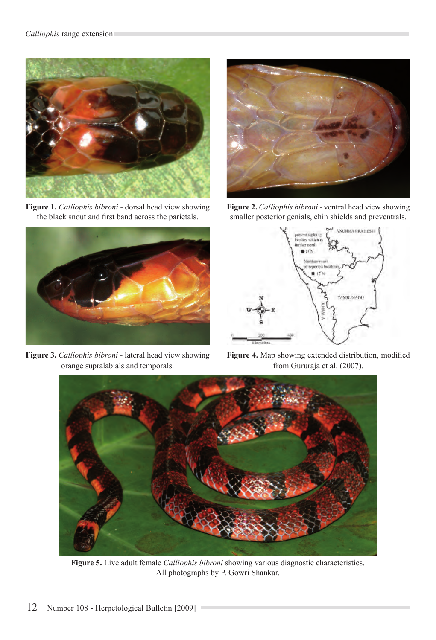

**Figure 1.** *Calliophis bibroni -* dorsal head view showing the black snout and first band across the parietals.



**Figure 3.** *Calliophis bibroni -* lateral head view showing orange supralabials and temporals.



**Figure 2.** *Calliophis bibroni -* ventral head view showing smaller posterior genials, chin shields and preventrals.



**Figure 4.** Map showing extended distribution, modified from Gururaja et al. (2007).



**Figure 5.** Live adult female *Calliophis bibroni* showing various diagnostic characteristics. All photographs by P. Gowri Shankar.